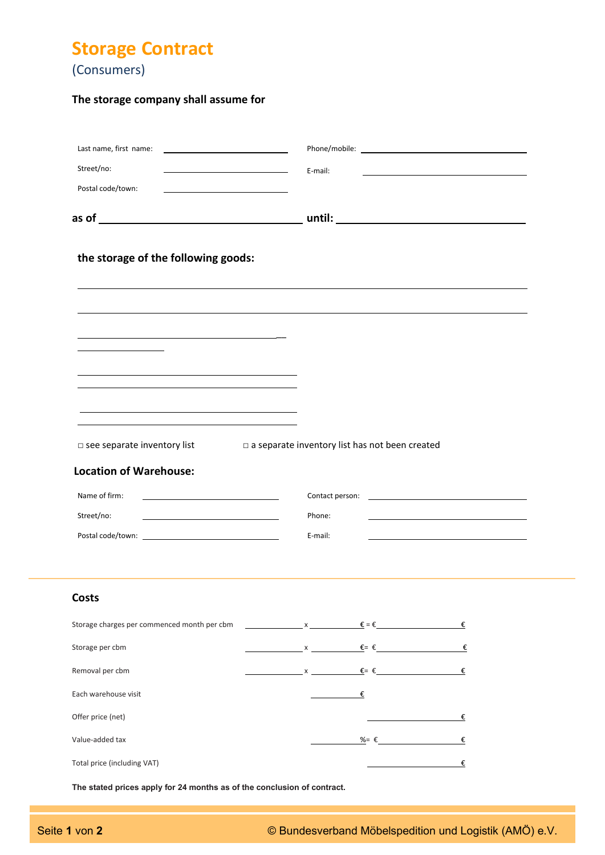**Storage Contract** 

(Consumers)

# **The storage company shall assume for**

| Last name, first name:<br><u> 1989 - Johann Barn, mars an t-Amerikaansk kommunister (</u><br>Street/no:<br>Postal code/town: | E-mail:                                                             |            |  |
|------------------------------------------------------------------------------------------------------------------------------|---------------------------------------------------------------------|------------|--|
|                                                                                                                              |                                                                     |            |  |
| the storage of the following goods:                                                                                          |                                                                     |            |  |
|                                                                                                                              |                                                                     |            |  |
|                                                                                                                              |                                                                     |            |  |
| □ see separate inventory list                                                                                                | a separate inventory list has not been created                      |            |  |
| <b>Location of Warehouse:</b>                                                                                                |                                                                     |            |  |
| Name of firm:                                                                                                                |                                                                     |            |  |
| Street/no:                                                                                                                   | Phone:                                                              |            |  |
|                                                                                                                              | E-mail:                                                             |            |  |
| Costs                                                                                                                        |                                                                     |            |  |
| Storage charges per commenced month per cbm                                                                                  | $x \longrightarrow x$ $\xi = \xi$ $\xi$                             |            |  |
| Storage per cbm                                                                                                              | $x \longrightarrow x$ $\xi = \xi$ $\xi$                             |            |  |
| Removal per cbm                                                                                                              | $x \longrightarrow x$ $\xi = \xi$ $\xi$                             |            |  |
| Each warehouse visit                                                                                                         | €<br><u>and the state</u>                                           |            |  |
| Offer price (net)                                                                                                            | <u> 1980 - Johann Barbara, martxa al</u>                            | €          |  |
| Value-added tax                                                                                                              | $\frac{\%}{\%}$ $\epsilon$                                          | €          |  |
| Total price (including VAT)                                                                                                  | $\frac{1}{2}$ and $\frac{1}{2}$ and $\frac{1}{2}$ and $\frac{1}{2}$ | $\epsilon$ |  |

**The stated prices apply for 24 months as of the conclusion of contract.**